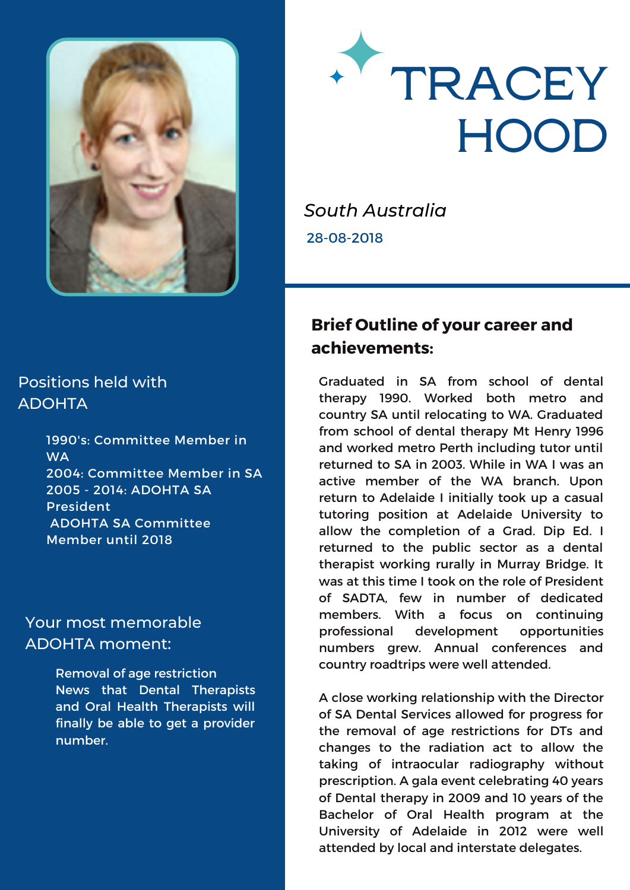



*South Australia* 28-08-2018

## **Brief Outline of your career and achievements:**

Graduated in SA from school of dental therapy 1990. Worked both metro and country SA until relocating to WA. Graduated from school of dental therapy Mt Henry 1996 and worked metro Perth including tutor until returned to SA in 2003. While in WA I was an active member of the WA branch. Upon return to Adelaide I initially took up a casual tutoring position at Adelaide University to allow the completion of a Grad. Dip Ed. I returned to the public sector as a dental therapist working rurally in Murray Bridge. It was at this time I took on the role of President of SADTA, few in number of dedicated members. With a focus on continuing professional development opportunities numbers grew. Annual conferences and country roadtrips were well attended.

A close working relationship with the Director of SA Dental Services allowed for progress for the removal of age restrictions for DTs and changes to the radiation act to allow the taking of intraocular radiography without prescription. A gala event celebrating 40 years of Dental therapy in 2009 and 10 years of the Bachelor of Oral Health program at the University of Adelaide in 2012 were well attended by local and interstate delegates.

## Positions held with ADOHTA

1990's: Committee Member in **WA** 2004: Committee Member in SA 2005 - 2014: ADOHTA SA President ADOHTA SA Committee Member until 2018

## Your most memorable ADOHTA moment:

Removal of age restriction News that Dental Therapists and Oral Health Therapists will finally be able to get a provider number.